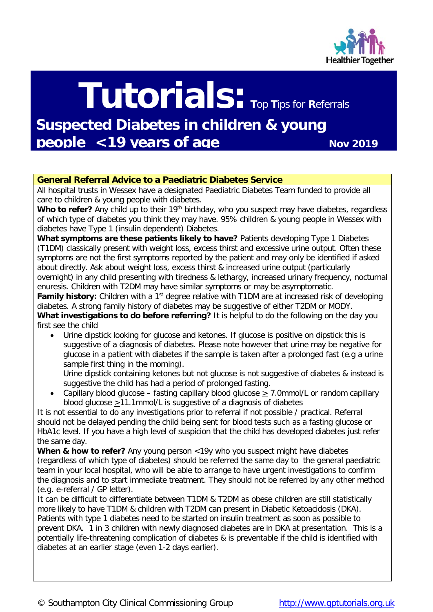

# **Tutorials: <sup>T</sup>**op **<sup>T</sup>**ips for **R**eferrals

**Suspected Diabetes in children & young people <19 years of age Nov 2019** 

## **General Referral Advice to a Paediatric Diabetes Service**

All hospital trusts in Wessex have a designated Paediatric Diabetes Team funded to provide all care to children & young people with diabetes.

Who to refer? Any child up to their 19<sup>th</sup> birthday, who you suspect may have diabetes, regardless of which type of diabetes you think they may have. 95% children & young people in Wessex with diabetes have Type 1 (insulin dependent) Diabetes.

**What symptoms are these patients likely to have?** Patients developing Type 1 Diabetes (T1DM) classically present with weight loss, excess thirst and excessive urine output. Often these symptoms are not the first symptoms reported by the patient and may only be identified if asked about directly. Ask about weight loss, excess thirst & increased urine output (particularly overnight) in any child presenting with tiredness & lethargy, increased urinary frequency, nocturnal

enuresis. Children with T2DM may have similar symptoms or may be asymptomatic. **Family history:** Children with a 1<sup>st</sup> degree relative with T1DM are at increased risk of developing diabetes. A strong family history of diabetes may be suggestive of either T2DM or MODY.

**What investigations to do before referring?** It is helpful to do the following on the day you first see the child

• Urine dipstick looking for glucose and ketones. If glucose is positive on dipstick this is suggestive of a diagnosis of diabetes. Please note however that urine may be negative for glucose in a patient with diabetes if the sample is taken after a prolonged fast (e.g a urine sample first thing in the morning).

Urine dipstick containing ketones but not glucose is not suggestive of diabetes & instead is suggestive the child has had a period of prolonged fasting.

• Capillary blood glucose – fasting capillary blood glucose > 7.0mmol/L or random capillary blood glucose >11.1mmol/L is suggestive of a diagnosis of diabetes

It is not essential to do any investigations prior to referral if not possible / practical. Referral should not be delayed pending the child being sent for blood tests such as a fasting glucose or HbA1c level. If you have a high level of suspicion that the child has developed diabetes just refer the same day.

**When & how to refer?** Any young person <19y who you suspect might have diabetes (regardless of which type of diabetes) should be [referred the same day to the general paediatric](https://www.what0-18.nhs.uk/professionals/gp-primary-care-staff/hospital-advicereferral-contact-details)  [team in your local hospital,](https://www.what0-18.nhs.uk/professionals/gp-primary-care-staff/hospital-advicereferral-contact-details) who will be able to arrange to have urgent investigations to confirm the diagnosis and to start immediate treatment. They should not be referred by any other method (e.g. e-referral / GP letter).

It can be difficult to differentiate between T1DM & T2DM as obese children are still statistically more likely to have T1DM & children with T2DM can present in Diabetic Ketoacidosis (DKA). Patients with type 1 diabetes need to be started on insulin treatment as soon as possible to prevent DKA. 1 in 3 children with newly diagnosed diabetes are in DKA at presentation. This is a potentially life-threatening complication of diabetes & is preventable if the child is identified with diabetes at an earlier stage (even 1-2 days earlier).